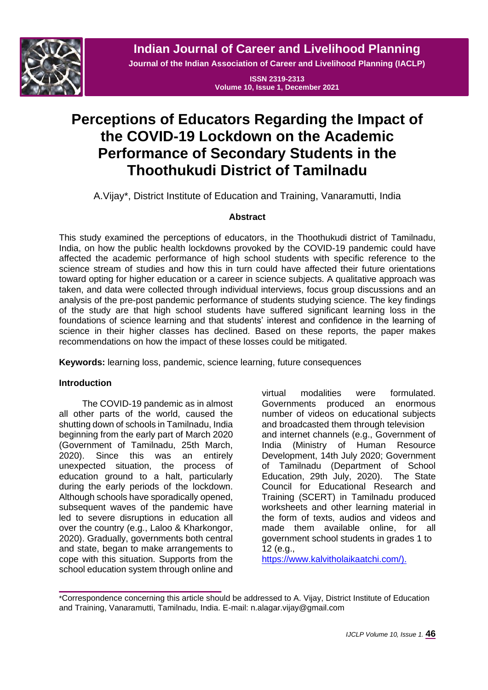

**Indian Journal of Career and Livelihood Planning**

**Journal of the Indian Association of Career and Livelihood Planning (IACLP)**

**ISSN 2319-2313 Volume 10, Issue 1, December 2021**

# **Perceptions of Educators Regarding the Impact of the COVID-19 Lockdown on the Academic Performance of Secondary Students in the Thoothukudi District of Tamilnadu**

A.Vijay\*, District Institute of Education and Training, Vanaramutti, India

## **Abstract**

This study examined the perceptions of educators, in the Thoothukudi district of Tamilnadu, India, on how the public health lockdowns provoked by the COVID-19 pandemic could have affected the academic performance of high school students with specific reference to the science stream of studies and how this in turn could have affected their future orientations toward opting for higher education or a career in science subjects. A qualitative approach was taken, and data were collected through individual interviews, focus group discussions and an analysis of the pre-post pandemic performance of students studying science. The key findings of the study are that high school students have suffered significant learning loss in the foundations of science learning and that students' interest and confidence in the learning of science in their higher classes has declined. Based on these reports, the paper makes recommendations on how the impact of these losses could be mitigated.

**Keywords:** learning loss, pandemic, science learning, future consequences

## **Introduction**

The COVID-19 pandemic as in almost all other parts of the world, caused the shutting down of schools in Tamilnadu, India beginning from the early part of March 2020 (Government of Tamilnadu, 25th March, 2020). Since this was an entirely unexpected situation, the process of education ground to a halt, particularly during the early periods of the lockdown. Although schools have sporadically opened, subsequent waves of the pandemic have led to severe disruptions in education all over the country (e.g., Laloo & Kharkongor, 2020). Gradually, governments both central and state, began to make arrangements to cope with this situation. Supports from the school education system through online and

virtual modalities were formulated. Governments produced an enormous number of videos on educational subjects and broadcasted them through television and internet channels (e.g., Government of India (Ministry of Human Resource Development, 14th July 2020; Government of Tamilnadu (Department of School Education, 29th July, 2020). The State Council for Educational Research and Training (SCERT) in Tamilnadu produced worksheets and other learning material in the form of texts, audios and videos and made them available online, for all government school students in grades 1 to 12 (e.g.,

[https://www.kalvitholaikaatchi.com/\)](https://www.kalvitholaikaatchi.com/).

<sup>\*</sup>Correspondence concerning this article should be addressed to A. Vijay, District Institute of Education and Training, Vanaramutti, Tamilnadu, India. E-mail: n.alagar.vijay@gmail.com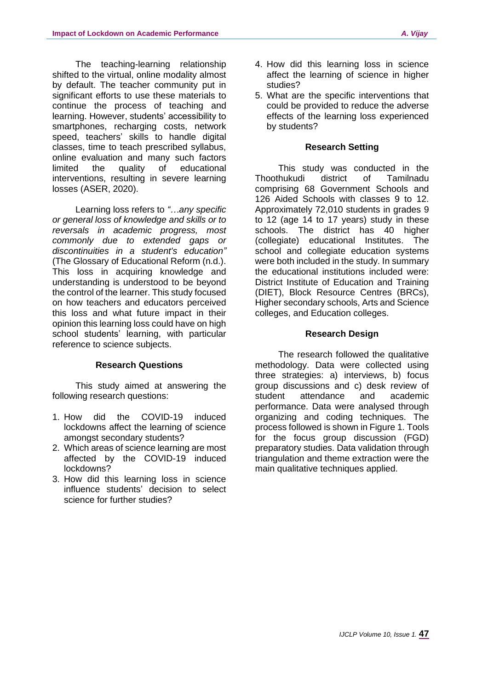The teaching-learning relationship shifted to the virtual, online modality almost by default. The teacher community put in significant efforts to use these materials to continue the process of teaching and learning. However, students' accessibility to smartphones, recharging costs, network speed, teachers' skills to handle digital classes, time to teach prescribed syllabus, online evaluation and many such factors limited the quality of educational interventions, resulting in severe learning losses (ASER, 2020).

Learning loss refers to *"…any specific or general loss of knowledge and skills or to reversals in academic progress, most commonly due to extended gaps or discontinuities in a student's education"* (The Glossary of Educational Reform (n.d.). This loss in acquiring knowledge and understanding is understood to be beyond the control of the learner. This study focused on how teachers and educators perceived this loss and what future impact in their opinion this learning loss could have on high school students' learning, with particular reference to science subjects.

#### **Research Questions**

This study aimed at answering the following research questions:

- 1. How did the COVID-19 induced lockdowns affect the learning of science amongst secondary students?
- 2. Which areas of science learning are most affected by the COVID-19 induced lockdowns?
- 3. How did this learning loss in science influence students' decision to select science for further studies?
- 4. How did this learning loss in science affect the learning of science in higher studies?
- 5. What are the specific interventions that could be provided to reduce the adverse effects of the learning loss experienced by students?

#### **Research Setting**

This study was conducted in the Thoothukudi district of Tamilnadu comprising 68 Government Schools and 126 Aided Schools with classes 9 to 12. Approximately 72,010 students in grades 9 to 12 (age 14 to 17 years) study in these schools. The district has 40 higher (collegiate) educational Institutes. The school and collegiate education systems were both included in the study. In summary the educational institutions included were: District Institute of Education and Training (DIET), Block Resource Centres (BRCs), Higher secondary schools, Arts and Science colleges, and Education colleges.

## **Research Design**

The research followed the qualitative methodology. Data were collected using three strategies: a) interviews, b) focus group discussions and c) desk review of student attendance and academic performance. Data were analysed through organizing and coding techniques. The process followed is shown in Figure 1. Tools for the focus group discussion (FGD) preparatory studies. Data validation through triangulation and theme extraction were the main qualitative techniques applied.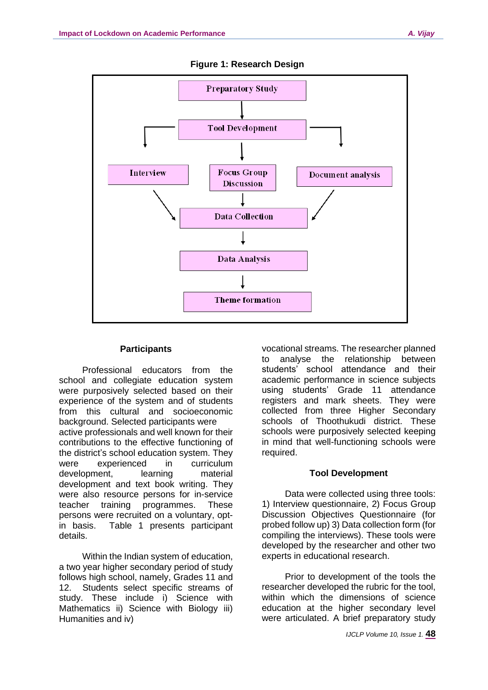

#### **Figure 1: Research Design**

## **Participants**

Professional educators from the school and collegiate education system were purposively selected based on their experience of the system and of students from this cultural and socioeconomic background. Selected participants were active professionals and well known for their contributions to the effective functioning of the district's school education system. They were experienced in curriculum development, learning material development and text book writing. They were also resource persons for in-service teacher training programmes. These persons were recruited on a voluntary, optin basis. Table 1 presents participant details.

Within the Indian system of education, a two year higher secondary period of study follows high school, namely, Grades 11 and 12. Students select specific streams of study. These include i) Science with Mathematics ii) Science with Biology iii) Humanities and iv)

vocational streams. The researcher planned to analyse the relationship between students' school attendance and their academic performance in science subjects using students' Grade 11 attendance registers and mark sheets. They were collected from three Higher Secondary schools of Thoothukudi district. These schools were purposively selected keeping in mind that well-functioning schools were required.

#### **Tool Development**

Data were collected using three tools: 1) Interview questionnaire, 2) Focus Group Discussion Objectives Questionnaire (for probed follow up) 3) Data collection form (for compiling the interviews). These tools were developed by the researcher and other two experts in educational research.

Prior to development of the tools the researcher developed the rubric for the tool, within which the dimensions of science education at the higher secondary level were articulated. A brief preparatory study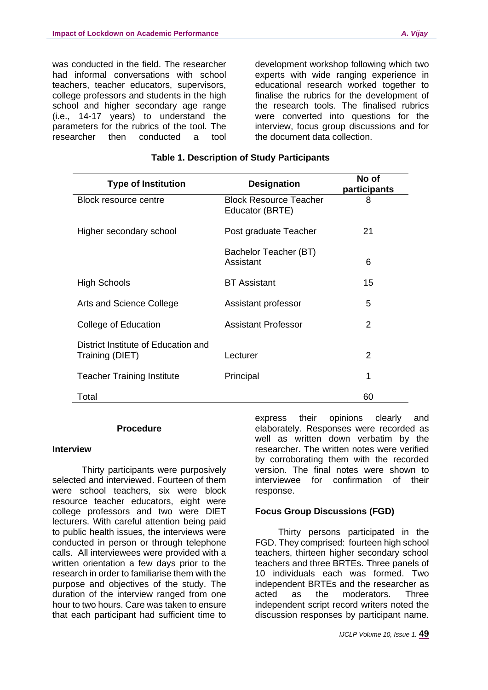was conducted in the field. The researcher had informal conversations with school teachers, teacher educators, supervisors, college professors and students in the high school and higher secondary age range (i.e., 14-17 years) to understand the parameters for the rubrics of the tool. The researcher then conducted a tool

development workshop following which two experts with wide ranging experience in educational research worked together to finalise the rubrics for the development of the research tools. The finalised rubrics were converted into questions for the interview, focus group discussions and for the document data collection.

| <b>Type of Institution</b>                             | <b>Designation</b>                               | No of<br>participants |
|--------------------------------------------------------|--------------------------------------------------|-----------------------|
| Block resource centre                                  | <b>Block Resource Teacher</b><br>Educator (BRTE) | 8                     |
| Higher secondary school                                | Post graduate Teacher                            | 21                    |
|                                                        | Bachelor Teacher (BT)<br>Assistant               | 6                     |
| <b>High Schools</b>                                    | <b>BT</b> Assistant                              | 15                    |
| Arts and Science College                               | Assistant professor                              | 5                     |
| College of Education                                   | <b>Assistant Professor</b>                       | $\overline{2}$        |
| District Institute of Education and<br>Training (DIET) | Lecturer                                         | 2                     |
| <b>Teacher Training Institute</b>                      | Principal                                        | 1                     |
| Total                                                  |                                                  | 60                    |

## **Table 1. Description of Study Participants**

### **Procedure**

#### **Interview**

Thirty participants were purposively selected and interviewed. Fourteen of them were school teachers, six were block resource teacher educators, eight were college professors and two were DIET lecturers. With careful attention being paid to public health issues, the interviews were conducted in person or through telephone calls. All interviewees were provided with a written orientation a few days prior to the research in order to familiarise them with the purpose and objectives of the study. The duration of the interview ranged from one hour to two hours. Care was taken to ensure that each participant had sufficient time to express their opinions clearly and elaborately. Responses were recorded as well as written down verbatim by the researcher. The written notes were verified by corroborating them with the recorded version. The final notes were shown to interviewee for confirmation of their response.

## **Focus Group Discussions (FGD)**

Thirty persons participated in the FGD. They comprised: fourteen high school teachers, thirteen higher secondary school teachers and three BRTEs. Three panels of 10 individuals each was formed. Two independent BRTEs and the researcher as acted as the moderators. Three independent script record writers noted the discussion responses by participant name.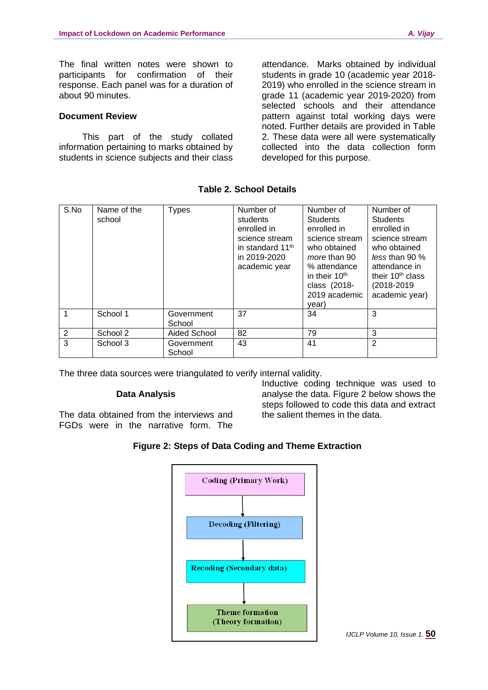The final written notes were shown to participants for confirmation of their response. Each panel was for a duration of about 90 minutes.

### **Document Review**

This part of the study collated information pertaining to marks obtained by students in science subjects and their class

attendance. Marks obtained by individual students in grade 10 (academic year 2018- 2019) who enrolled in the science stream in grade 11 (academic year 2019-2020) from selected schools and their attendance pattern against total working days were noted. Further details are provided in Table 2. These data were all were systematically collected into the data collection form developed for this purpose.

| S.No | Name of the<br>school | <b>Types</b>         | Number of<br>students<br>enrolled in<br>science stream<br>in standard 11 <sup>th</sup><br>in 2019-2020<br>academic year | Number of<br><b>Students</b><br>enrolled in<br>science stream<br>who obtained<br>more than 90<br>% attendance<br>in their 10 <sup>th</sup><br>class (2018-<br>2019 academic<br>year) | Number of<br><b>Students</b><br>enrolled in<br>science stream<br>who obtained<br>less than 90 $%$<br>attendance in<br>their 10 <sup>th</sup> class<br>(2018-2019)<br>academic year) |
|------|-----------------------|----------------------|-------------------------------------------------------------------------------------------------------------------------|--------------------------------------------------------------------------------------------------------------------------------------------------------------------------------------|-------------------------------------------------------------------------------------------------------------------------------------------------------------------------------------|
|      | School 1              | Government<br>School | 37                                                                                                                      | 34                                                                                                                                                                                   | 3                                                                                                                                                                                   |
| 2    | School 2              | Aided School         | 82                                                                                                                      | 79                                                                                                                                                                                   | 3                                                                                                                                                                                   |
| 3    | School 3              | Government<br>School | 43                                                                                                                      | 41                                                                                                                                                                                   | $\overline{2}$                                                                                                                                                                      |

## **Table 2. School Details**

The three data sources were triangulated to verify internal validity.

#### **Data Analysis**

The data obtained from the interviews and FGDs were in the narrative form. The

Inductive coding technique was used to analyse the data. Figure 2 below shows the steps followed to code this data and extract the salient themes in the data.

## **Figure 2: Steps of Data Coding and Theme Extraction**

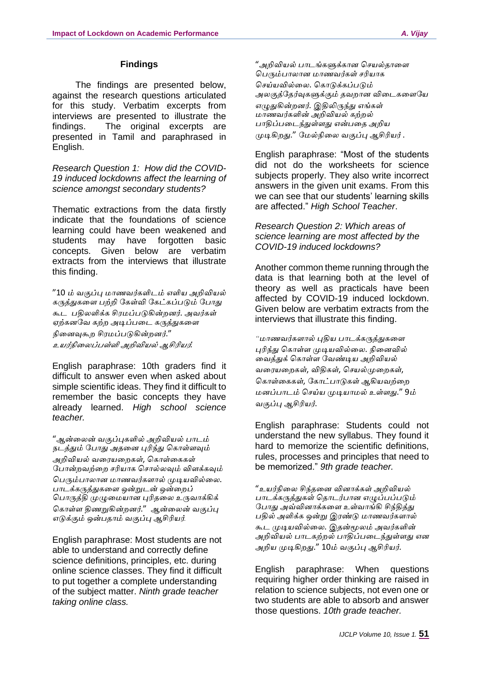## **Findings**

The findings are presented below, against the research questions articulated for this study. Verbatim excerpts from interviews are presented to illustrate the findings. The original excerpts are presented in Tamil and paraphrased in English.

*Research Question 1: How did the COVID-19 induced lockdowns affect the learning of science amongst secondary students?*

Thematic extractions from the data firstly indicate that the foundations of science learning could have been weakened and students may have forgotten basic concepts. Given below are verbatim extracts from the interviews that illustrate this finding.

"10 *ம் வகுப்பு மாணவர்களிடம் எளிய அறிவியல் கருத்துகளை பற்றி ககள்வி ககட்கப்படும் கபாது கூட பதிலளிக்க சிரமப்படுகின்றனர்*. *அவர்கள் ஏற்கனகவ கற்ற அடிப்பளட கருத்துகளை நிளனவுகூற சிரமப்படுகின்றனர்*." *உயர்நிளலப்பள்ளி அறிவியல் ஆசிரியர்.*

English paraphrase: 10th graders find it difficult to answer even when asked about simple scientific ideas. They find it difficult to remember the basic concepts they have already learned. *High school science teacher.*

"*ஆன்ளலன் வகுப்புகளில் அறிவியல் பாடம் நடத்தும் கபாது அதளன புரிந்து ககாள்ைவும் அறிவியல் வளரயளறகள்*, *ககாள்ளககள் கபான்றவற்ளற சரியாக கசால்லவும் விைக்கவும் கபரும்பாலான மாணவர்கைால் முடியவில்ளல*. *பாடக்கருத்துகளை ஒன்றுடன் ஒன்ளறப் கபாருத்தி முழுளமயான புரிதளல உருவாக்கிக் ககாள்ை திணறுகின்றனர்*." *ஆன்ளலன் வகுப்பு எடுக்கும் ஒன்பதாம் வகுப்பு ஆசிரியர்.*

English paraphrase: Most students are not able to understand and correctly define science definitions, principles, etc. during online science classes. They find it difficult to put together a complete understanding of the subject matter. *Ninth grade teacher taking online class.*

"*அறிவியல் பாடங்களுக்கான கசயல்தாளை கபரும்பாலான மாணவர்கள் சரியாக கசய்யவில்ளல*. *ககாடுக்கப்படும் அலகுத்கதர்வுகளுக்கும் தவறான விளடகளைகய எழுதுகின்றனர்*. *இதிலிருந்து எங்கள் மாணவர்களின் அறிவியல் கற்றல் பாதிப்பளடந்துள்ைது என்பளத அறிய முடிகிறது*." *கமல்நிளல வகுப்பு ஆசிரியர்* .

English paraphrase: "Most of the students did not do the worksheets for science subjects properly. They also write incorrect answers in the given unit exams. From this we can see that our students' learning skills are affected." *High School Teacher*.

*Research Question 2: Which areas of science learning are most affected by the COVID-19 induced lockdowns?*

Another common theme running through the data is that learning both at the level of theory as well as practicals have been affected by COVID-19 induced lockdown. Given below are verbatim extracts from the interviews that illustrate this finding.

*"மாணவர்கைால் புதிய பாடக்கருத்துகளை புரிந்து ககாள்ை முடியவில்ளல*. *நிளனவில் ளவத்துக் ககாள்ை கவண்டிய அறிவியல் வளரயளறகள்*, *விதிகள்*, *கசயல்முளறகள்*, *ககாள்ளககள்*, *ககாட்பாடுகள் ஆகியவற்ளற மனப்பாடம் கசய்ய முடியாமல் உள்ைது*." 9*ம் வகுப்பு ஆசிரியர்*.

English paraphrase: Students could not understand the new syllabus. They found it hard to memorize the scientific definitions, rules, processes and principles that need to be memorized." *9th grade teacher.*

"*உயர்நிளல சிந்தளன வினாக்கள் அறிவியல் பாடக்கருத்துகள் கதாடர்பான எழுப்பப்படும் கபாது அவ்வினாக்களை உள்வாங்கி சிந்தித்து பதில் அளிக்க ஒன்று இரண்டு மாணவர்கைால் கூட முடியவில்ளல*. *இதன்மூலம் அவர்களின் அறிவியல் பாடகற்றல் பாதிப்பளடந்துள்ைது என அறிய முடிகிறது*." 10*ம் வகுப்பு ஆசிரியர்*.

English paraphrase: When questions requiring higher order thinking are raised in relation to science subjects, not even one or two students are able to absorb and answer those questions. *10th grade teacher.*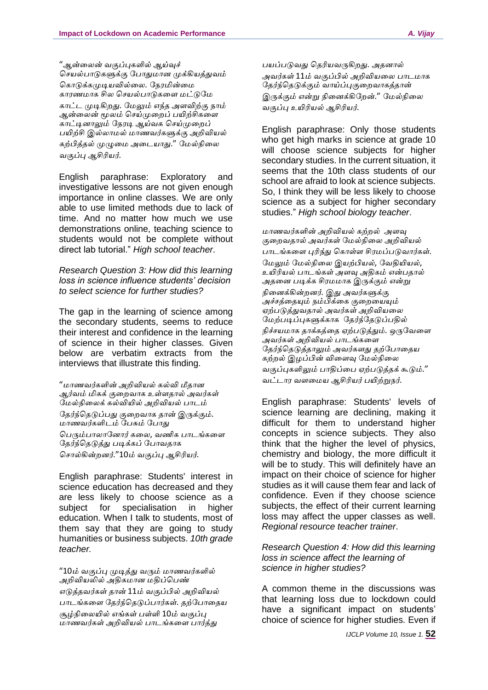"*ஆன்ளலன் வகுப்புகளில் ஆய்வுச் கசயல்பாடுகளுக்கு கபாதுமான முக்கியத்துவம் ககாடுக்கமுடியவில்ளல*. *கநரமின்ளம காரணமாக சில கசயல்பாடுகளை மட்டுகம காட்ட முடிகிறது*. *கமலும் எந்த அைவிற்கு நாம் ஆன்ளலன் மூலம் கசய்முளறப் பயிற்சிகளை காட்டினாலும் கநரடி ஆய்வக கசய்முளறப் பயிற்சி இல்லாமல் மாணவர்களுக்கு அறிவியல் கற்பித்தல் முழுளம அளடயாது*." *கமல்நிளல வகுப்பு ஆசிரியர்*.

English paraphrase: Exploratory and investigative lessons are not given enough importance in online classes. We are only able to use limited methods due to lack of time. And no matter how much we use demonstrations online, teaching science to students would not be complete without direct lab tutorial." *High school teacher*.

*Research Question 3: How did this learning loss in science influence students' decision to select science for further studies?*

The gap in the learning of science among the secondary students, seems to reduce their interest and confidence in the learning of science in their higher classes. Given below are verbatim extracts from the interviews that illustrate this finding.

"*மாணவர்களின் அறிவியல் கல்வி மீதான ஆர்வம் மிகக் குளறவாக உள்ைதால் அவர்கள் கமல்நிளலக் கல்வியில் அறிவியல் பாடம் கதர்ந்கதடுப்பது குளறவாக தான் இருக்கும்*. *மாணவர்களிடம் கபசும் கபாது கபரும்பாலாகனார் களல*, *வணிக பாடங்களை கதர்ந்கதடுத்து படிக்கப் கபாவதாக கசால்கின்றனர்*."10*ம் வகுப்பு ஆசிரியர்*.

English paraphrase: Students' interest in science education has decreased and they are less likely to choose science as a subject for specialisation in higher education. When I talk to students, most of them say that they are going to study humanities or business subjects. *10th grade teacher.*

"10*ம் வகுப்பு முடித்து வரும் மாணவர்களில் அறிவியலில் அதிகமான மதிப்கபண் எடுத்தவர்கள் தான்* 11*ம் வகுப்பில் அறிவியல் பாடங்களை கதர்ந்கதடுப்பார்கள்*. *தற்கபாளதய சூழ்நிளலயில் எங்கள் பள்ளி* 10*ம் வகுப்பு மாணவர்கள் அறிவியல் பாடங்களை பார்த்து*

*பயப்படுவது கதரியவருகிறது*. *அதனால் அவர்கள்* 11*ம் வகுப்பில் அறிவியளல பாடமாக கதர்ந்கதடுக்கும் வாய்ப்புகுளறவாகத்தான் இருக்கும் என்று நிளனக்கிகறன்*." *கமல்நிளல வகுப்பு உயிரியல் ஆசிரியர்*.

English paraphrase: Only those students who get high marks in science at grade 10 will choose science subjects for higher secondary studies. In the current situation, it seems that the 10th class students of our school are afraid to look at science subjects. So, I think they will be less likely to choose science as a subject for higher secondary studies." *High school biology teacher*.

*மாணவர்களின் அறிவியல் கற்றல் அைவு குளறவதால் அவர்கள் கமல்நிளல அறிவியல் பாடங்களை புரிந்து ககாள்ை சிரமப்படுவார்கள்*. *கமலும் கமல்நிளல இயற்பியல்*, *கவதியியல்*, *உயிரியல் பாடங்கள் அைவு அதிகம் என்பதால் அதளன படிக்க சிரமமாக இருக்கும் என்று நிளனக்கின்றனர்*. *இது அவர்களுக்கு அச்சத்ளதயும் நம்பிக்ளக குளறளயயும் ஏற்படுத்துவதால் அவர்கள் அறிவியளல கமற்படிப்புகளுக்காக கதர்ந்கதடுப்பதில் நிச்சயமாக தாக்கத்ளத ஏற்படுத்தும்*. *ஒருகவளை அவர்கள் அறிவியல் பாடங்களை கதர்ந்கதடுத்தாலும் அவர்கைது தற்கபாளதய கற்றல் இழப்பின் விளைவு கமல்நிளல வகுப்புகளிலும் பாதிப்ளப ஏற்படுத்தக் கூடும்*." *வட்டார வைளமய ஆசிரியர் பயிற்றுநர்*.

English paraphrase: Students' levels of science learning are declining, making it difficult for them to understand higher concepts in science subjects. They also think that the higher the level of physics, chemistry and biology, the more difficult it will be to study. This will definitely have an impact on their choice of science for higher studies as it will cause them fear and lack of confidence. Even if they choose science subjects, the effect of their current learning loss may affect the upper classes as well. *Regional resource teacher trainer*.

*Research Question 4: How did this learning loss in science affect the learning of science in higher studies?*

A common theme in the discussions was that learning loss due to lockdown could have a significant impact on students' choice of science for higher studies. Even if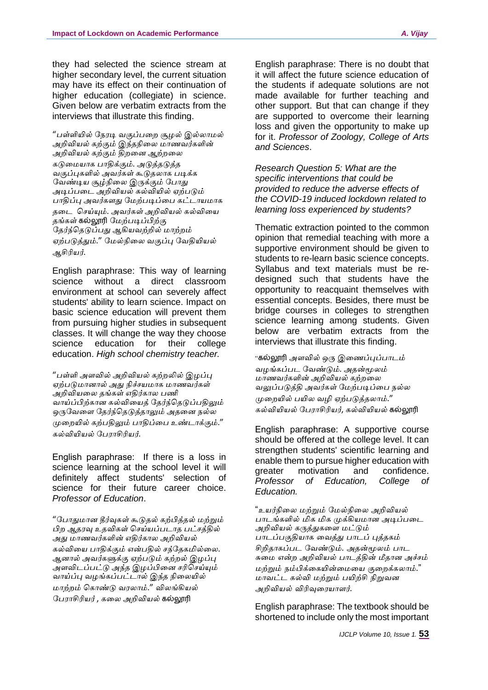they had selected the science stream at higher secondary level, the current situation may have its effect on their continuation of higher education (collegiate) in science. Given below are verbatim extracts from the interviews that illustrate this finding.

"*பள்ளியில் கநரடி வகுப்பளற சூழல் இல்லாமல் அறிவியல் கற்கும் இந்தநிளல மாணவர்களின் அறிவியல் கற்கும் திறளன ஆற்றளல கடுளமயாக பாதிக்கும்*. *அடுத்தடுத்த வகுப்புகளில் அவர்கள் கூடுதலாக படிக்க கவண்டிய சூழ்நிளல இருக்கும் கபாது அடிப்பளட அறிவியல் கல்வியில் ஏற்படும் பாதிப்பு அவர்கைது கமற்படிப்ளப கட்டாயமாக தளட கசய்யும்*. *அவர்கள் அறிவியல் கல்விளய தங்கள்* கல்லூரி *கமற்படிப்பிற்கு கதர்ந்கதடுப்பது ஆகியவற்றில் மாற்றம் ஏற்படுத்தும்*." *கமல்நிளல வகுப்பு கவதியியல் ஆசிரியர்*.

English paraphrase: This way of learning science without a direct classroom environment at school can severely affect students' ability to learn science. Impact on basic science education will prevent them from pursuing higher studies in subsequent classes. It will change the way they choose science education for their college education. *High school chemistry teacher.* 

"*பள்ளி அைவில் அறிவியல் கற்றலில் இழப்பு ஏற்படுமானால் அது நிச்சயமாக மாணவர்கள் அறிவியளல தங்கள் எதிர்கால பணி வாய்ப்பிற்கான கல்விளயத் கதர்ந்கதடுப்பதிலும் ஒருகவளை கதர்ந்கதடுத்தாலும் அதளன நல்ல முளறயில் கற்பதிலும் பாதிப்ளப உண்டாக்கும்*." *கல்வியியல் கபராசிரியர்*.

English paraphrase: If there is a loss in science learning at the school level it will definitely affect students' selection of science for their future career choice. *Professor of Education*.

"*கபாதுமான தீர்வுகள் கூடுதல் கற்பித்தல் மற்றும் பிற ஆதரவு உதவிகள் கசய்யப்படாத பட்சத்தில் அது மாணவர்களின் எதிர்கால அறிவியல் கல்விளய பாதிக்கும் என்பதில் சந்கதகமில்ளல*. *ஆனால் அவர்களுக்கு ஏற்படும் கற்றல் இழப்பு அைவிடப்பட்டு அந்த இழப்பிளன சரிகசய்யும் வாய்ப்பு வழங்கப்பட்டால் இந்த நிளலயில் மாற்றம் ககாண்டு வரலாம்*." *விலங்கியல் கபராசிரியர்* , *களல அறிவியல்* கல்லூரி

English paraphrase: There is no doubt that it will affect the future science education of the students if adequate solutions are not made available for further teaching and other support. But that can change if they are supported to overcome their learning loss and given the opportunity to make up for it. *Professor of Zoology, College of Arts and Sciences*.

*Research Question 5: What are the specific interventions that could be provided to reduce the adverse effects of the COVID-19 induced lockdown related to learning loss experienced by students?*

Thematic extraction pointed to the common opinion that remedial teaching with more a supportive environment should be given to students to re-learn basic science concepts. Syllabus and text materials must be redesigned such that students have the opportunity to reacquaint themselves with essential concepts. Besides, there must be bridge courses in colleges to strengthen science learning among students. Given below are verbatim extracts from the interviews that illustrate this finding.

"கல்லூரி *அைவில் ஒரு இளணப்புப்பாடம் வழங்கப்பட கவண்டும்*. *அதன்மூலம் மாணவர்களின் அறிவியல் கற்றளல வலுப்படுத்தி அவர்கள் கமற்படிப்ளப நல்ல முளறயில் பயில வழி ஏற்படுத்தலாம்*." *கல்வியியல் கபராசிரியர்*, *கல்வியியல்* கல்லூரி

English paraphrase: A supportive course should be offered at the college level. It can strengthen students' scientific learning and enable them to pursue higher education with greater motivation and confidence. *Professor of Education, College of Education.*

"*உயர்நிளல மற்றும் கமல்நிளல அறிவியல் பாடங்களில் மிக மிக முக்கியமான அடிப்பளட அறிவியல் கருத்துகளை மட்டும் பாடப்பகுதியாக ளவத்து பாடப் புத்தகம் சிறிதாகப்பட கவண்டும்*. *அதன்மூலம் பாட சுளம என்ற அறிவியல் பாடத்தின் மீதான அச்சம் மற்றும் நம்பிக்ளகயின்ளமளய குளறக்கலாம்*." *மாவட்ட கல்வி மற்றும் பயிற்சி நிறுவன அறிவியல் விரிவுளரயாைர்*.

English paraphrase: The textbook should be shortened to include only the most important